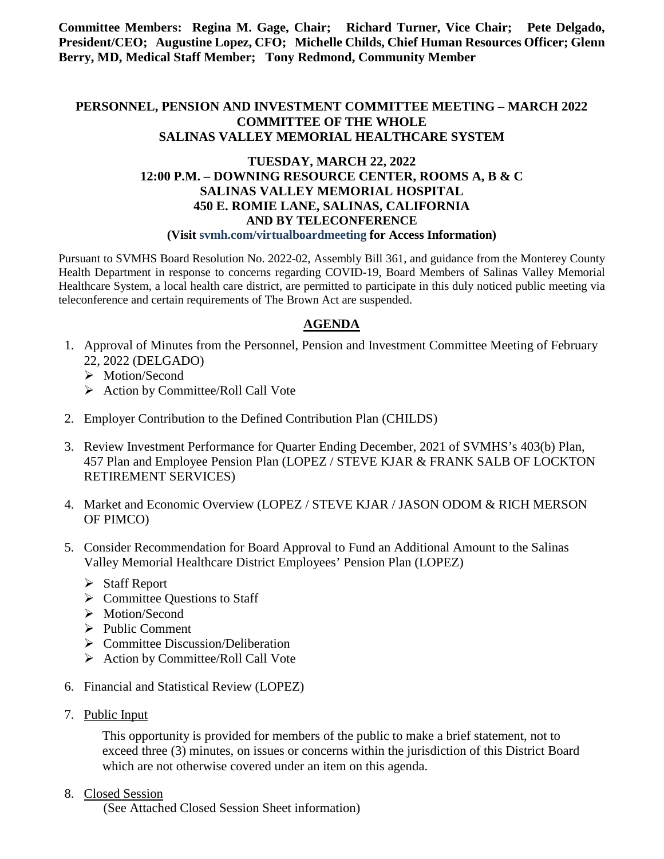**Committee Members: Regina M. Gage, Chair; Richard Turner, Vice Chair; Pete Delgado, President/CEO; Augustine Lopez, CFO; Michelle Childs, Chief Human Resources Officer; Glenn Berry, MD, Medical Staff Member; Tony Redmond, Community Member**

## **PERSONNEL, PENSION AND INVESTMENT COMMITTEE MEETING – MARCH 2022 COMMITTEE OF THE WHOLE SALINAS VALLEY MEMORIAL HEALTHCARE SYSTEM**

### **TUESDAY, MARCH 22, 2022 12:00 P.M. – DOWNING RESOURCE CENTER, ROOMS A, B & C SALINAS VALLEY MEMORIAL HOSPITAL 450 E. ROMIE LANE, SALINAS, CALIFORNIA AND BY TELECONFERENCE (Visit svmh.com/virtualboardmeeting for Access Information)**

Pursuant to SVMHS Board Resolution No. 2022-02, Assembly Bill 361, and guidance from the Monterey County Health Department in response to concerns regarding COVID-19, Board Members of Salinas Valley Memorial Healthcare System, a local health care district, are permitted to participate in this duly noticed public meeting via teleconference and certain requirements of The Brown Act are suspended.

# **AGENDA**

- 1. Approval of Minutes from the Personnel, Pension and Investment Committee Meeting of February 22, 2022 (DELGADO)
	- > Motion/Second
	- $\triangleright$  Action by Committee/Roll Call Vote
- 2. Employer Contribution to the Defined Contribution Plan (CHILDS)
- 3. Review Investment Performance for Quarter Ending December, 2021 of SVMHS's 403(b) Plan, 457 Plan and Employee Pension Plan (LOPEZ / STEVE KJAR & FRANK SALB OF LOCKTON RETIREMENT SERVICES)
- 4. Market and Economic Overview (LOPEZ / STEVE KJAR / JASON ODOM & RICH MERSON OF PIMCO)
- 5. Consider Recommendation for Board Approval to Fund an Additional Amount to the Salinas Valley Memorial Healthcare District Employees' Pension Plan (LOPEZ)
	- Staff Report
	- $\triangleright$  Committee Ouestions to Staff
	- > Motion/Second
	- $\triangleright$  Public Comment
	- $\triangleright$  Committee Discussion/Deliberation
	- $\triangleright$  Action by Committee/Roll Call Vote
- 6. Financial and Statistical Review (LOPEZ)
- 7. Public Input

This opportunity is provided for members of the public to make a brief statement, not to exceed three (3) minutes, on issues or concerns within the jurisdiction of this District Board which are not otherwise covered under an item on this agenda.

8. Closed Session

(See Attached Closed Session Sheet information)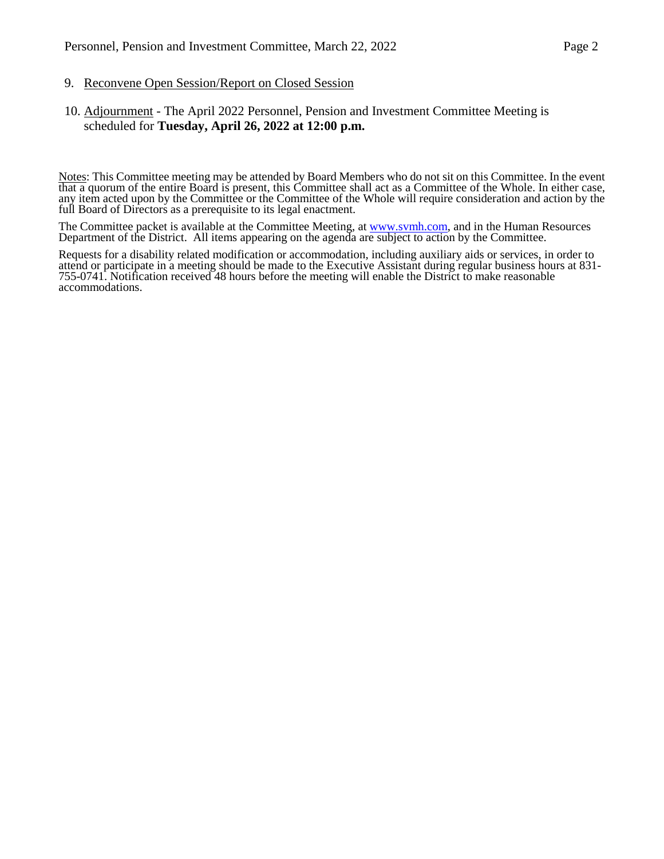#### 9. Reconvene Open Session/Report on Closed Session

### 10. Adjournment - The April 2022 Personnel, Pension and Investment Committee Meeting is scheduled for **Tuesday, April 26, 2022 at 12:00 p.m.**

Notes: This Committee meeting may be attended by Board Members who do not sit on this Committee. In the event that a quorum of the entire Board is present, this Committee shall act as a Committee of the Whole. In either case, any item acted upon by the Committee or the Committee of the Whole will require consideration and action by the full Board of Directors as a prerequisite to its legal enactment.

The Committee packet is available at the Committee Meeting, at [www.svmh.com,](http://www.svmh.com/) and in the Human Resources Department of the District. All items appearing on the agenda are subject to action by the Committee.

Requests for a disability related modification or accommodation, including auxiliary aids or services, in order to attend or participate in a meeting should be made to the Executive Assistant during regular business hours  $755-0741$ . Notification received 48 hours before the meeting will enable the District to make reasonable accommodations.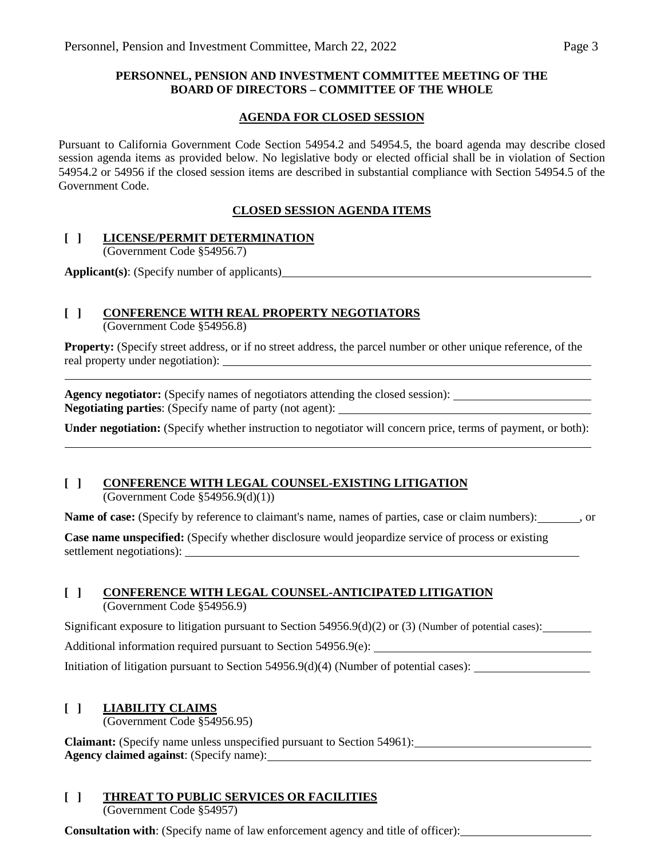### **PERSONNEL, PENSION AND INVESTMENT COMMITTEE MEETING OF THE BOARD OF DIRECTORS – COMMITTEE OF THE WHOLE**

### **AGENDA FOR CLOSED SESSION**

Pursuant to California Government Code Section 54954.2 and 54954.5, the board agenda may describe closed session agenda items as provided below. No legislative body or elected official shall be in violation of Section 54954.2 or 54956 if the closed session items are described in substantial compliance with Section 54954.5 of the Government Code.

### **CLOSED SESSION AGENDA ITEMS**

### **[ ] LICENSE/PERMIT DETERMINATION**

(Government Code §54956.7)

**Applicant(s)**: (Specify number of applicants)

# **[ ] CONFERENCE WITH REAL PROPERTY NEGOTIATORS**

(Government Code §54956.8)

**Property:** (Specify street address, or if no street address, the parcel number or other unique reference, of the real property under negotiation):

**Agency negotiator:** (Specify names of negotiators attending the closed session): **Negotiating parties**: (Specify name of party (not agent):

**Under negotiation:** (Specify whether instruction to negotiator will concern price, terms of payment, or both):

## **[ ] CONFERENCE WITH LEGAL COUNSEL-EXISTING LITIGATION**

(Government Code §54956.9(d)(1))

**Name of case:** (Specify by reference to claimant's name, names of parties, case or claim numbers): , or

**Case name unspecified:** (Specify whether disclosure would jeopardize service of process or existing settlement negotiations):

### **[ ] CONFERENCE WITH LEGAL COUNSEL-ANTICIPATED LITIGATION**

(Government Code §54956.9)

Significant exposure to litigation pursuant to Section  $54956.9(d)(2)$  or (3) (Number of potential cases):

Additional information required pursuant to Section 54956.9(e):

Initiation of litigation pursuant to Section 54956.9(d)(4) (Number of potential cases):

## **[ ] LIABILITY CLAIMS**

(Government Code §54956.95)

**Claimant:** (Specify name unless unspecified pursuant to Section 54961): **Agency claimed against**: (Specify name):

# **[ ] THREAT TO PUBLIC SERVICES OR FACILITIES**

(Government Code §54957)

**Consultation with**: (Specify name of law enforcement agency and title of officer):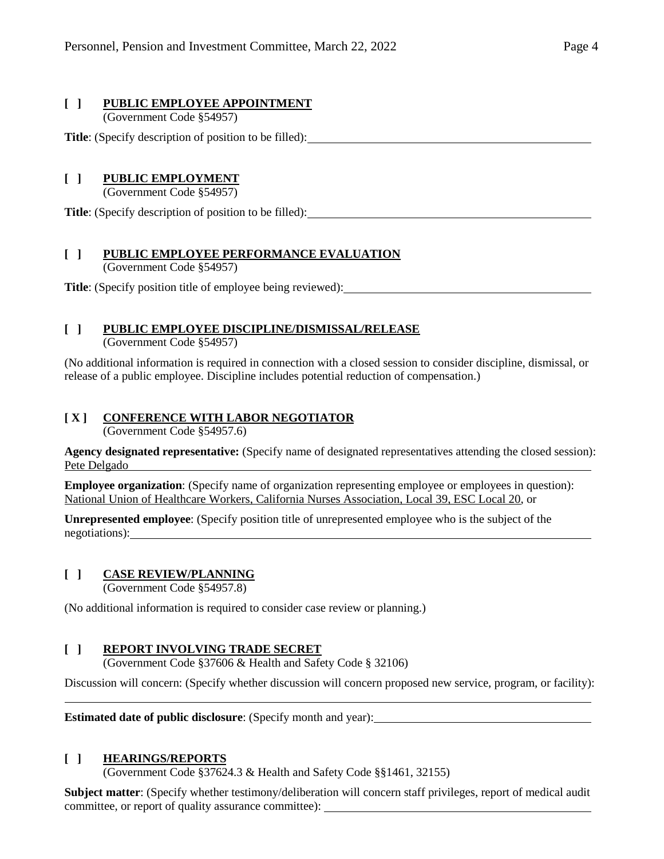### **[ ] PUBLIC EMPLOYEE APPOINTMENT**

(Government Code §54957)

**Title**: (Specify description of position to be filled):

## **[ ] PUBLIC EMPLOYMENT**

(Government Code §54957)

**Title**: (Specify description of position to be filled):

## **[ ] PUBLIC EMPLOYEE PERFORMANCE EVALUATION**

(Government Code §54957)

**Title**: (Specify position title of employee being reviewed):

## **[ ] PUBLIC EMPLOYEE DISCIPLINE/DISMISSAL/RELEASE**

(Government Code §54957)

(No additional information is required in connection with a closed session to consider discipline, dismissal, or release of a public employee. Discipline includes potential reduction of compensation.)

### **[ X ] CONFERENCE WITH LABOR NEGOTIATOR**

(Government Code §54957.6)

**Agency designated representative:** (Specify name of designated representatives attending the closed session): Pete Delgado

**Employee organization**: (Specify name of organization representing employee or employees in question): National Union of Healthcare Workers, California Nurses Association, Local 39, ESC Local 20, or

**Unrepresented employee**: (Specify position title of unrepresented employee who is the subject of the negotiations):

### **[ ] CASE REVIEW/PLANNING**

(Government Code §54957.8)

(No additional information is required to consider case review or planning.)

### **[ ] REPORT INVOLVING TRADE SECRET**

(Government Code §37606 & Health and Safety Code § 32106)

Discussion will concern: (Specify whether discussion will concern proposed new service, program, or facility):

**Estimated date of public disclosure**: (Specify month and year):

### **[ ] HEARINGS/REPORTS**

(Government Code §37624.3 & Health and Safety Code §§1461, 32155)

**Subject matter**: (Specify whether testimony/deliberation will concern staff privileges, report of medical audit committee, or report of quality assurance committee):